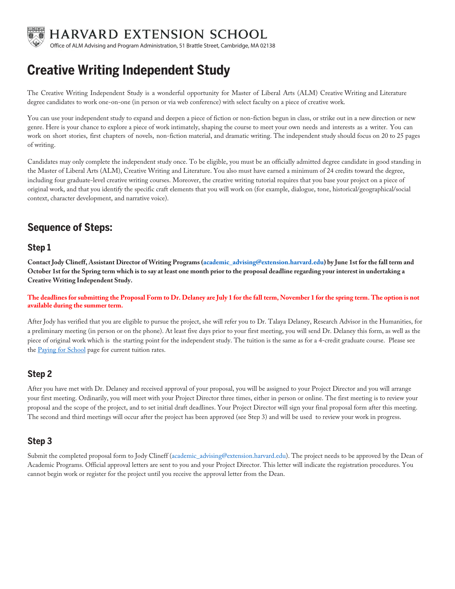

HARVARD EXTENSION SCHOOL

Office of ALM Advising and Program Administration, 51 Brattle Street, Cambridge, MA 02138

# **Creative Writing Independent Study**

The Creative Writing Independent Study is a wonderful opportunity for Master of Liberal Arts (ALM) Creative Writing and Literature degree candidates to work one-on-one (in person or via web conference) with select faculty on a piece of creative work.

You can use your independent study to expand and deepen a piece of fiction or non-fiction begun in class, or strike out in a new direction or new genre. Here is your chance to explore a piece of work intimately, shaping the course to meet your own needs and interests as a writer. You can work on short stories, first chapters of novels, non-fiction material, and dramatic writing. The independent study should focus on 20 to 25 pages of writing.

Candidates may only complete the independent study once. To be eligible, you must be an officially admitted degree candidate in good standing in the Master of Liberal Arts (ALM), Creative Writing and Literature. You also must have earned a minimum of 24 credits toward the degree, including four graduate-level creative writing courses. Moreover, the creative writing tutorial requires that you base your project on a piece of original work, and that you identify the specific craft elements that you will work on (for example, dialogue, tone, historical/geographical/social context, character development, and narrative voice).

### **Sequence of Steps:**

#### **Step 1**

**Contact Jody Clineff, Assistant Director of Writing Programs [\(academic\\_advising@extension.harvard.edu\)](mailto: academic_advising@extension.harvard.edu) by June 1st for the fall term and October 1st for the Spring term which is to say at least one month prior to the proposal deadline regarding your interest in undertaking a Creative Writing Independent Study.** 

**The deadlines for submitting the Proposal Form to Dr. Delaney are July 1 for the fall term, November 1 for the spring term. The option is not available during the summer term.** 

After Jody has verified that you are eligible to pursue the project, she will refer you to Dr. Talaya Delaney, Research Advisor in the Humanities, for a preliminary meeting (in person or on the phone). At least five days prior to your first meeting, you will send Dr. Delaney this form, as well as the piece of original work which is the starting point for the independent study. The tuition is the same as for a 4-credit graduate course. Please see th[e Paying for School](https://extension.harvard.edu/paying-for-school/) page for current tuition rates.

#### **Step 2**

After you have met with Dr. Delaney and received approval of your proposal, you will be assigned to your Project Director and you will arrange your first meeting. Ordinarily, you will meet with your Project Director three times, either in person or online. The first meeting is to review your proposal and the scope of the project, and to set initial draft deadlines. Your Project Director will sign your final proposal form after this meeting. The second and third meetings will occur after the project has been approved (see Step 3) and will be used to review your work in progress.

#### **Step 3**

Submit the completed proposal form to Jody Clineff (academic\_advising@extension.harvard.edu). The project needs to be approved by the Dean of Academic Programs. Official approval letters are sent to you and your Project Director. This letter will indicate the registration procedures. You cannot begin work or register for the project until you receive the approval letter from the Dean.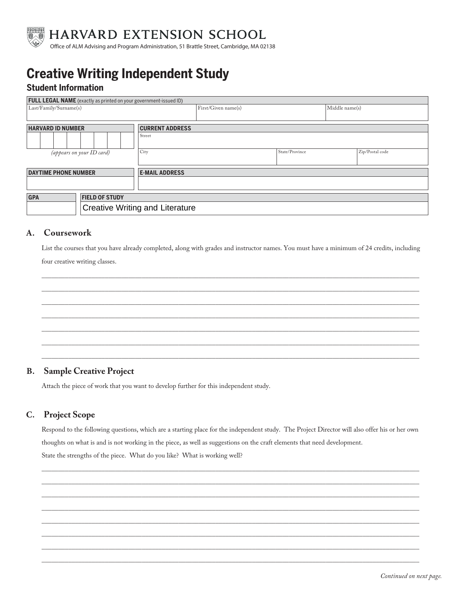

HARVARD EXTENSION SCHOOL

Office of ALM Advising and Program Administration, 51 Brattle Street, Cambridge, MA 02138

# **Creative Writing Independent Study**

#### **Student Information**

| <b>FULL LEGAL NAME</b> (exactly as printed on your government-issued ID) |        |                     |                |                |                 |  |  |
|--------------------------------------------------------------------------|--------|---------------------|----------------|----------------|-----------------|--|--|
| Last/Family/Surname(s)                                                   |        | First/Given name(s) |                | Middle name(s) |                 |  |  |
|                                                                          |        |                     |                |                |                 |  |  |
| <b>HARVARD ID NUMBER</b>                                                 |        |                     |                |                |                 |  |  |
|                                                                          | Street |                     |                |                |                 |  |  |
| City<br>(appears on your ID card)                                        |        |                     | State/Province |                | Zip/Postal code |  |  |
| <b>DAYTIME PHONE NUMBER</b><br><b>E-MAIL ADDRESS</b>                     |        |                     |                |                |                 |  |  |
|                                                                          |        |                     |                |                |                 |  |  |
| <b>GPA</b><br><b>FIELD OF STUDY</b>                                      |        |                     |                |                |                 |  |  |
| <b>Creative Writing and Literature</b>                                   |        |                     |                |                |                 |  |  |

#### **A. Coursework**

List the courses that you have already completed, along with grades and instructor names. You must have a minimum of 24 credits, including four creative writing classes.

\_\_\_\_\_\_\_\_\_\_\_\_\_\_\_\_\_\_\_\_\_\_\_\_\_\_\_\_\_\_\_\_\_\_\_\_\_\_\_\_\_\_\_\_\_\_\_\_\_\_\_\_\_\_\_\_\_\_\_\_\_\_\_\_\_\_\_\_\_\_\_\_\_\_\_\_\_\_\_\_\_\_\_\_\_\_\_\_\_\_\_\_\_\_\_\_\_\_\_\_\_\_\_\_\_\_\_\_\_\_\_\_\_ \_\_\_\_\_\_\_\_\_\_\_\_\_\_\_\_\_\_\_\_\_\_\_\_\_\_\_\_\_\_\_\_\_\_\_\_\_\_\_\_\_\_\_\_\_\_\_\_\_\_\_\_\_\_\_\_\_\_\_\_\_\_\_\_\_\_\_\_\_\_\_\_\_\_\_\_\_\_\_\_\_\_\_\_\_\_\_\_\_\_\_\_\_\_\_\_\_\_\_\_\_\_\_\_\_\_\_\_\_\_\_\_\_ \_\_\_\_\_\_\_\_\_\_\_\_\_\_\_\_\_\_\_\_\_\_\_\_\_\_\_\_\_\_\_\_\_\_\_\_\_\_\_\_\_\_\_\_\_\_\_\_\_\_\_\_\_\_\_\_\_\_\_\_\_\_\_\_\_\_\_\_\_\_\_\_\_\_\_\_\_\_\_\_\_\_\_\_\_\_\_\_\_\_\_\_\_\_\_\_\_\_\_\_\_\_\_\_\_\_\_\_\_\_\_\_\_ \_\_\_\_\_\_\_\_\_\_\_\_\_\_\_\_\_\_\_\_\_\_\_\_\_\_\_\_\_\_\_\_\_\_\_\_\_\_\_\_\_\_\_\_\_\_\_\_\_\_\_\_\_\_\_\_\_\_\_\_\_\_\_\_\_\_\_\_\_\_\_\_\_\_\_\_\_\_\_\_\_\_\_\_\_\_\_\_\_\_\_\_\_\_\_\_\_\_\_\_\_\_\_\_\_\_\_\_\_\_\_\_\_ \_\_\_\_\_\_\_\_\_\_\_\_\_\_\_\_\_\_\_\_\_\_\_\_\_\_\_\_\_\_\_\_\_\_\_\_\_\_\_\_\_\_\_\_\_\_\_\_\_\_\_\_\_\_\_\_\_\_\_\_\_\_\_\_\_\_\_\_\_\_\_\_\_\_\_\_\_\_\_\_\_\_\_\_\_\_\_\_\_\_\_\_\_\_\_\_\_\_\_\_\_\_\_\_\_\_\_\_\_\_\_\_\_ \_\_\_\_\_\_\_\_\_\_\_\_\_\_\_\_\_\_\_\_\_\_\_\_\_\_\_\_\_\_\_\_\_\_\_\_\_\_\_\_\_\_\_\_\_\_\_\_\_\_\_\_\_\_\_\_\_\_\_\_\_\_\_\_\_\_\_\_\_\_\_\_\_\_\_\_\_\_\_\_\_\_\_\_\_\_\_\_\_\_\_\_\_\_\_\_\_\_\_\_\_\_\_\_\_\_\_\_\_\_\_\_\_ \_\_\_\_\_\_\_\_\_\_\_\_\_\_\_\_\_\_\_\_\_\_\_\_\_\_\_\_\_\_\_\_\_\_\_\_\_\_\_\_\_\_\_\_\_\_\_\_\_\_\_\_\_\_\_\_\_\_\_\_\_\_\_\_\_\_\_\_\_\_\_\_\_\_\_\_\_\_\_\_\_\_\_\_\_\_\_\_\_\_\_\_\_\_\_\_\_\_\_\_\_\_\_\_\_\_\_\_\_\_\_\_\_

#### **B. Sample Creative Project**

Attach the piece of work that you want to develop further for this independent study.

#### **C. Project Scope**

Respond to the following questions, which are a starting place for the independent study. The Project Director will also offer his or her own thoughts on what is and is not working in the piece, as well as suggestions on the craft elements that need development. State the strengths of the piece. What do you like? What is working well?

\_\_\_\_\_\_\_\_\_\_\_\_\_\_\_\_\_\_\_\_\_\_\_\_\_\_\_\_\_\_\_\_\_\_\_\_\_\_\_\_\_\_\_\_\_\_\_\_\_\_\_\_\_\_\_\_\_\_\_\_\_\_\_\_\_\_\_\_\_\_\_\_\_\_\_\_\_\_\_\_\_\_\_\_\_\_\_\_\_\_\_\_\_\_\_\_\_\_\_\_\_\_\_\_\_\_\_\_\_\_\_\_\_ \_\_\_\_\_\_\_\_\_\_\_\_\_\_\_\_\_\_\_\_\_\_\_\_\_\_\_\_\_\_\_\_\_\_\_\_\_\_\_\_\_\_\_\_\_\_\_\_\_\_\_\_\_\_\_\_\_\_\_\_\_\_\_\_\_\_\_\_\_\_\_\_\_\_\_\_\_\_\_\_\_\_\_\_\_\_\_\_\_\_\_\_\_\_\_\_\_\_\_\_\_\_\_\_\_\_\_\_\_\_\_\_\_ \_\_\_\_\_\_\_\_\_\_\_\_\_\_\_\_\_\_\_\_\_\_\_\_\_\_\_\_\_\_\_\_\_\_\_\_\_\_\_\_\_\_\_\_\_\_\_\_\_\_\_\_\_\_\_\_\_\_\_\_\_\_\_\_\_\_\_\_\_\_\_\_\_\_\_\_\_\_\_\_\_\_\_\_\_\_\_\_\_\_\_\_\_\_\_\_\_\_\_\_\_\_\_\_\_\_\_\_\_\_\_\_\_ \_\_\_\_\_\_\_\_\_\_\_\_\_\_\_\_\_\_\_\_\_\_\_\_\_\_\_\_\_\_\_\_\_\_\_\_\_\_\_\_\_\_\_\_\_\_\_\_\_\_\_\_\_\_\_\_\_\_\_\_\_\_\_\_\_\_\_\_\_\_\_\_\_\_\_\_\_\_\_\_\_\_\_\_\_\_\_\_\_\_\_\_\_\_\_\_\_\_\_\_\_\_\_\_\_\_\_\_\_\_\_\_\_ \_\_\_\_\_\_\_\_\_\_\_\_\_\_\_\_\_\_\_\_\_\_\_\_\_\_\_\_\_\_\_\_\_\_\_\_\_\_\_\_\_\_\_\_\_\_\_\_\_\_\_\_\_\_\_\_\_\_\_\_\_\_\_\_\_\_\_\_\_\_\_\_\_\_\_\_\_\_\_\_\_\_\_\_\_\_\_\_\_\_\_\_\_\_\_\_\_\_\_\_\_\_\_\_\_\_\_\_\_\_\_\_\_ \_\_\_\_\_\_\_\_\_\_\_\_\_\_\_\_\_\_\_\_\_\_\_\_\_\_\_\_\_\_\_\_\_\_\_\_\_\_\_\_\_\_\_\_\_\_\_\_\_\_\_\_\_\_\_\_\_\_\_\_\_\_\_\_\_\_\_\_\_\_\_\_\_\_\_\_\_\_\_\_\_\_\_\_\_\_\_\_\_\_\_\_\_\_\_\_\_\_\_\_\_\_\_\_\_\_\_\_\_\_\_\_\_ \_\_\_\_\_\_\_\_\_\_\_\_\_\_\_\_\_\_\_\_\_\_\_\_\_\_\_\_\_\_\_\_\_\_\_\_\_\_\_\_\_\_\_\_\_\_\_\_\_\_\_\_\_\_\_\_\_\_\_\_\_\_\_\_\_\_\_\_\_\_\_\_\_\_\_\_\_\_\_\_\_\_\_\_\_\_\_\_\_\_\_\_\_\_\_\_\_\_\_\_\_\_\_\_\_\_\_\_\_\_\_\_\_ \_\_\_\_\_\_\_\_\_\_\_\_\_\_\_\_\_\_\_\_\_\_\_\_\_\_\_\_\_\_\_\_\_\_\_\_\_\_\_\_\_\_\_\_\_\_\_\_\_\_\_\_\_\_\_\_\_\_\_\_\_\_\_\_\_\_\_\_\_\_\_\_\_\_\_\_\_\_\_\_\_\_\_\_\_\_\_\_\_\_\_\_\_\_\_\_\_\_\_\_\_\_\_\_\_\_\_\_\_\_\_\_\_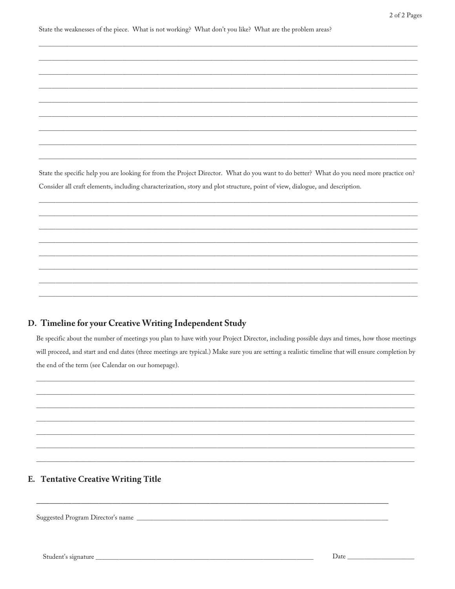State the weaknesses of the piece. What is not working? What don't you like? What are the problem areas?

State the specific help you are looking for from the Project Director. What do you want to do better? What do you need more practice on? Consider all craft elements, including characterization, story and plot structure, point of view, dialogue, and description.

#### D. Timeline for your Creative Writing Independent Study

Be specific about the number of meetings you plan to have with your Project Director, including possible days and times, how those meetings will proceed, and start and end dates (three meetings are typical.) Make sure you are setting a realistic timeline that will ensure completion by the end of the term (see Calendar on our homepage).

#### E. Tentative Creative Writing Title

Suggested Program Director's name